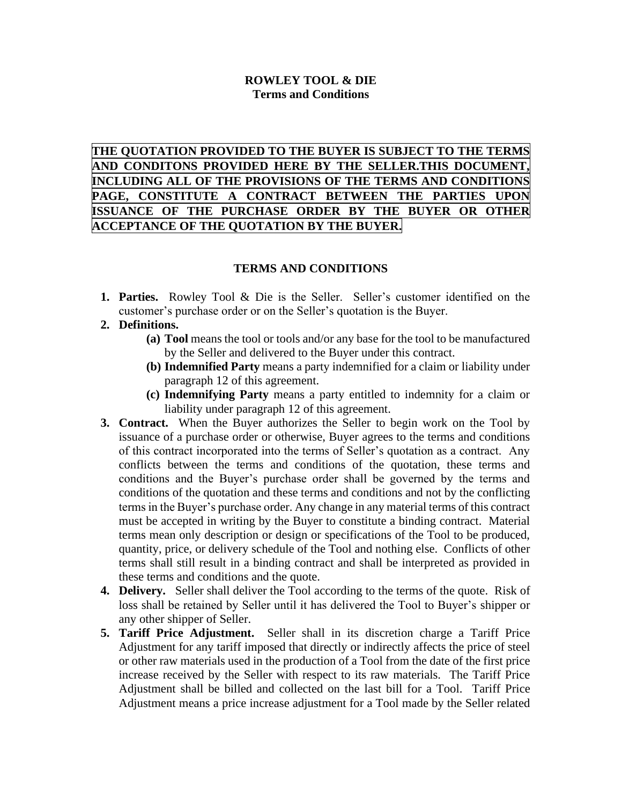## **ROWLEY TOOL & DIE Terms and Conditions**

**THE QUOTATION PROVIDED TO THE BUYER IS SUBJECT TO THE TERMS AND CONDITONS PROVIDED HERE BY THE SELLER.THIS DOCUMENT, INCLUDING ALL OF THE PROVISIONS OF THE TERMS AND CONDITIONS PAGE, CONSTITUTE A CONTRACT BETWEEN THE PARTIES UPON ISSUANCE OF THE PURCHASE ORDER BY THE BUYER OR OTHER ACCEPTANCE OF THE QUOTATION BY THE BUYER.**

## **TERMS AND CONDITIONS**

**1. Parties.** Rowley Tool & Die is the Seller. Seller's customer identified on the customer's purchase order or on the Seller's quotation is the Buyer.

## **2. Definitions.**

- **(a) Tool** means the tool or tools and/or any base for the tool to be manufactured by the Seller and delivered to the Buyer under this contract.
- **(b) Indemnified Party** means a party indemnified for a claim or liability under paragraph 12 of this agreement.
- **(c) Indemnifying Party** means a party entitled to indemnity for a claim or liability under paragraph 12 of this agreement.
- **3. Contract.** When the Buyer authorizes the Seller to begin work on the Tool by issuance of a purchase order or otherwise, Buyer agrees to the terms and conditions of this contract incorporated into the terms of Seller's quotation as a contract. Any conflicts between the terms and conditions of the quotation, these terms and conditions and the Buyer's purchase order shall be governed by the terms and conditions of the quotation and these terms and conditions and not by the conflicting terms in the Buyer's purchase order. Any change in any material terms of this contract must be accepted in writing by the Buyer to constitute a binding contract. Material terms mean only description or design or specifications of the Tool to be produced, quantity, price, or delivery schedule of the Tool and nothing else. Conflicts of other terms shall still result in a binding contract and shall be interpreted as provided in these terms and conditions and the quote.
- **4. Delivery.** Seller shall deliver the Tool according to the terms of the quote. Risk of loss shall be retained by Seller until it has delivered the Tool to Buyer's shipper or any other shipper of Seller.
- **5. Tariff Price Adjustment.** Seller shall in its discretion charge a Tariff Price Adjustment for any tariff imposed that directly or indirectly affects the price of steel or other raw materials used in the production of a Tool from the date of the first price increase received by the Seller with respect to its raw materials. The Tariff Price Adjustment shall be billed and collected on the last bill for a Tool. Tariff Price Adjustment means a price increase adjustment for a Tool made by the Seller related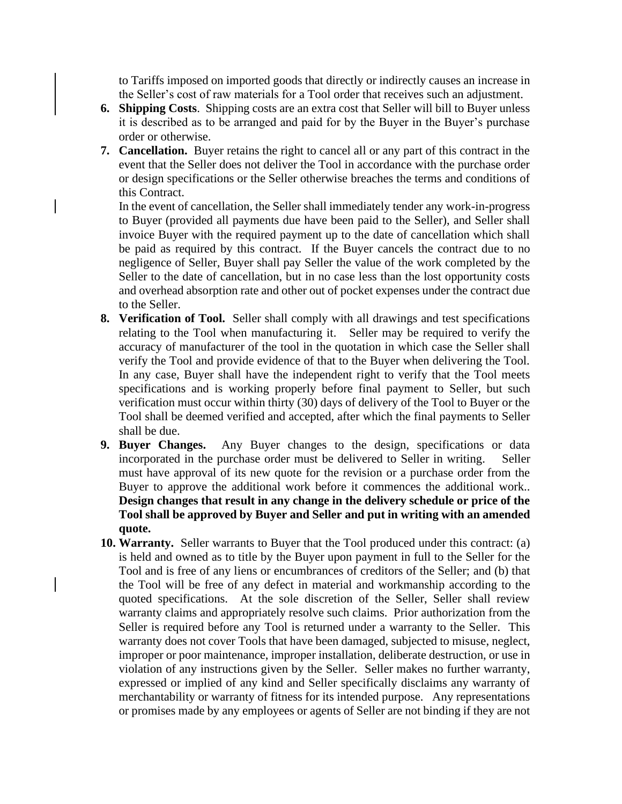to Tariffs imposed on imported goods that directly or indirectly causes an increase in the Seller's cost of raw materials for a Tool order that receives such an adjustment.

- **6. Shipping Costs**. Shipping costs are an extra cost that Seller will bill to Buyer unless it is described as to be arranged and paid for by the Buyer in the Buyer's purchase order or otherwise.
- **7. Cancellation.** Buyer retains the right to cancel all or any part of this contract in the event that the Seller does not deliver the Tool in accordance with the purchase order or design specifications or the Seller otherwise breaches the terms and conditions of this Contract.

In the event of cancellation, the Seller shall immediately tender any work-in-progress to Buyer (provided all payments due have been paid to the Seller), and Seller shall invoice Buyer with the required payment up to the date of cancellation which shall be paid as required by this contract. If the Buyer cancels the contract due to no negligence of Seller, Buyer shall pay Seller the value of the work completed by the Seller to the date of cancellation, but in no case less than the lost opportunity costs and overhead absorption rate and other out of pocket expenses under the contract due to the Seller.

- **8. Verification of Tool.** Seller shall comply with all drawings and test specifications relating to the Tool when manufacturing it. Seller may be required to verify the accuracy of manufacturer of the tool in the quotation in which case the Seller shall verify the Tool and provide evidence of that to the Buyer when delivering the Tool. In any case, Buyer shall have the independent right to verify that the Tool meets specifications and is working properly before final payment to Seller, but such verification must occur within thirty (30) days of delivery of the Tool to Buyer or the Tool shall be deemed verified and accepted, after which the final payments to Seller shall be due.
- **9. Buyer Changes.** Any Buyer changes to the design, specifications or data incorporated in the purchase order must be delivered to Seller in writing. Seller must have approval of its new quote for the revision or a purchase order from the Buyer to approve the additional work before it commences the additional work.. **Design changes that result in any change in the delivery schedule or price of the Tool shall be approved by Buyer and Seller and put in writing with an amended quote.**
- **10. Warranty.** Seller warrants to Buyer that the Tool produced under this contract: (a) is held and owned as to title by the Buyer upon payment in full to the Seller for the Tool and is free of any liens or encumbrances of creditors of the Seller; and (b) that the Tool will be free of any defect in material and workmanship according to the quoted specifications. At the sole discretion of the Seller, Seller shall review warranty claims and appropriately resolve such claims. Prior authorization from the Seller is required before any Tool is returned under a warranty to the Seller. This warranty does not cover Tools that have been damaged, subjected to misuse, neglect, improper or poor maintenance, improper installation, deliberate destruction, or use in violation of any instructions given by the Seller. Seller makes no further warranty, expressed or implied of any kind and Seller specifically disclaims any warranty of merchantability or warranty of fitness for its intended purpose. Any representations or promises made by any employees or agents of Seller are not binding if they are not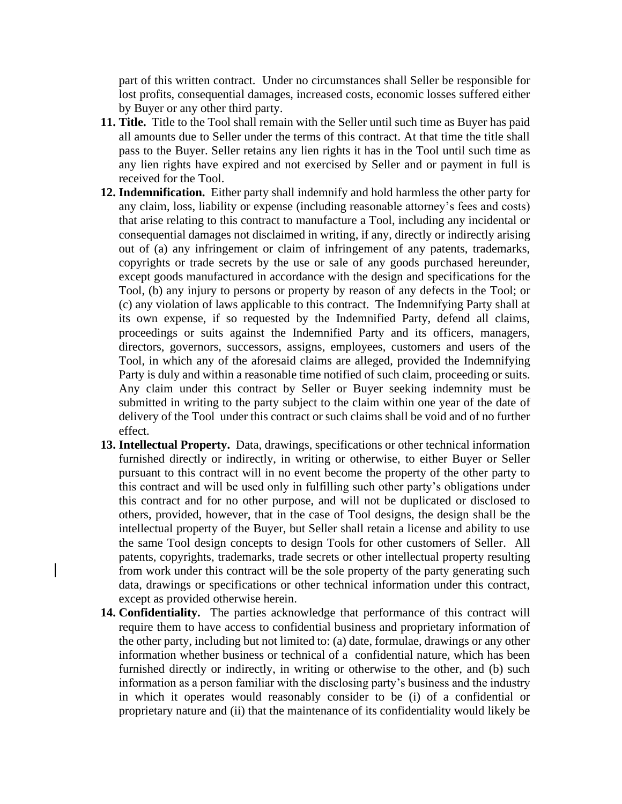part of this written contract. Under no circumstances shall Seller be responsible for lost profits, consequential damages, increased costs, economic losses suffered either by Buyer or any other third party.

- **11. Title.** Title to the Tool shall remain with the Seller until such time as Buyer has paid all amounts due to Seller under the terms of this contract. At that time the title shall pass to the Buyer. Seller retains any lien rights it has in the Tool until such time as any lien rights have expired and not exercised by Seller and or payment in full is received for the Tool.
- **12. Indemnification.** Either party shall indemnify and hold harmless the other party for any claim, loss, liability or expense (including reasonable attorney's fees and costs) that arise relating to this contract to manufacture a Tool, including any incidental or consequential damages not disclaimed in writing, if any, directly or indirectly arising out of (a) any infringement or claim of infringement of any patents, trademarks, copyrights or trade secrets by the use or sale of any goods purchased hereunder, except goods manufactured in accordance with the design and specifications for the Tool, (b) any injury to persons or property by reason of any defects in the Tool; or (c) any violation of laws applicable to this contract. The Indemnifying Party shall at its own expense, if so requested by the Indemnified Party, defend all claims, proceedings or suits against the Indemnified Party and its officers, managers, directors, governors, successors, assigns, employees, customers and users of the Tool, in which any of the aforesaid claims are alleged, provided the Indemnifying Party is duly and within a reasonable time notified of such claim, proceeding or suits. Any claim under this contract by Seller or Buyer seeking indemnity must be submitted in writing to the party subject to the claim within one year of the date of delivery of the Tool under this contract or such claims shall be void and of no further effect.
- **13. Intellectual Property.** Data, drawings, specifications or other technical information furnished directly or indirectly, in writing or otherwise, to either Buyer or Seller pursuant to this contract will in no event become the property of the other party to this contract and will be used only in fulfilling such other party's obligations under this contract and for no other purpose, and will not be duplicated or disclosed to others, provided, however, that in the case of Tool designs, the design shall be the intellectual property of the Buyer, but Seller shall retain a license and ability to use the same Tool design concepts to design Tools for other customers of Seller. All patents, copyrights, trademarks, trade secrets or other intellectual property resulting from work under this contract will be the sole property of the party generating such data, drawings or specifications or other technical information under this contract, except as provided otherwise herein.
- **14. Confidentiality.** The parties acknowledge that performance of this contract will require them to have access to confidential business and proprietary information of the other party, including but not limited to: (a) date, formulae, drawings or any other information whether business or technical of a confidential nature, which has been furnished directly or indirectly, in writing or otherwise to the other, and (b) such information as a person familiar with the disclosing party's business and the industry in which it operates would reasonably consider to be (i) of a confidential or proprietary nature and (ii) that the maintenance of its confidentiality would likely be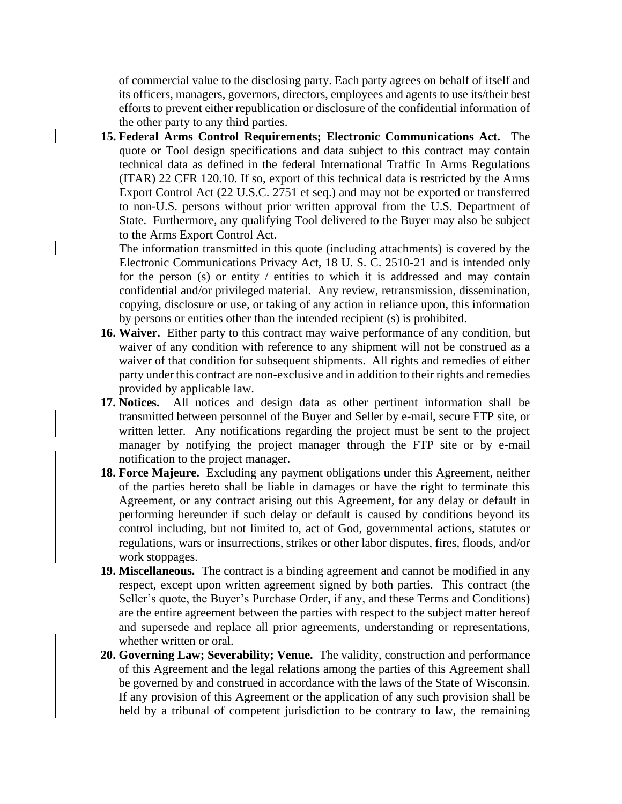of commercial value to the disclosing party. Each party agrees on behalf of itself and its officers, managers, governors, directors, employees and agents to use its/their best efforts to prevent either republication or disclosure of the confidential information of the other party to any third parties.

**15. Federal Arms Control Requirements; Electronic Communications Act.** The quote or Tool design specifications and data subject to this contract may contain technical data as defined in the federal International Traffic In Arms Regulations (ITAR) 22 CFR 120.10. If so, export of this technical data is restricted by the Arms Export Control Act (22 U.S.C. 2751 et seq.) and may not be exported or transferred to non-U.S. persons without prior written approval from the U.S. Department of State. Furthermore, any qualifying Tool delivered to the Buyer may also be subject to the Arms Export Control Act.

The information transmitted in this quote (including attachments) is covered by the Electronic Communications Privacy Act, 18 U. S. C. 2510-21 and is intended only for the person (s) or entity / entities to which it is addressed and may contain confidential and/or privileged material. Any review, retransmission, dissemination, copying, disclosure or use, or taking of any action in reliance upon, this information by persons or entities other than the intended recipient (s) is prohibited.

- **16. Waiver.** Either party to this contract may waive performance of any condition, but waiver of any condition with reference to any shipment will not be construed as a waiver of that condition for subsequent shipments. All rights and remedies of either party under this contract are non-exclusive and in addition to their rights and remedies provided by applicable law.
- **17. Notices.** All notices and design data as other pertinent information shall be transmitted between personnel of the Buyer and Seller by e-mail, secure FTP site, or written letter. Any notifications regarding the project must be sent to the project manager by notifying the project manager through the FTP site or by e-mail notification to the project manager.
- **18. Force Majeure.** Excluding any payment obligations under this Agreement, neither of the parties hereto shall be liable in damages or have the right to terminate this Agreement, or any contract arising out this Agreement, for any delay or default in performing hereunder if such delay or default is caused by conditions beyond its control including, but not limited to, act of God, governmental actions, statutes or regulations, wars or insurrections, strikes or other labor disputes, fires, floods, and/or work stoppages.
- **19. Miscellaneous.** The contract is a binding agreement and cannot be modified in any respect, except upon written agreement signed by both parties. This contract (the Seller's quote, the Buyer's Purchase Order, if any, and these Terms and Conditions) are the entire agreement between the parties with respect to the subject matter hereof and supersede and replace all prior agreements, understanding or representations, whether written or oral.
- **20. Governing Law; Severability; Venue.** The validity, construction and performance of this Agreement and the legal relations among the parties of this Agreement shall be governed by and construed in accordance with the laws of the State of Wisconsin. If any provision of this Agreement or the application of any such provision shall be held by a tribunal of competent jurisdiction to be contrary to law, the remaining